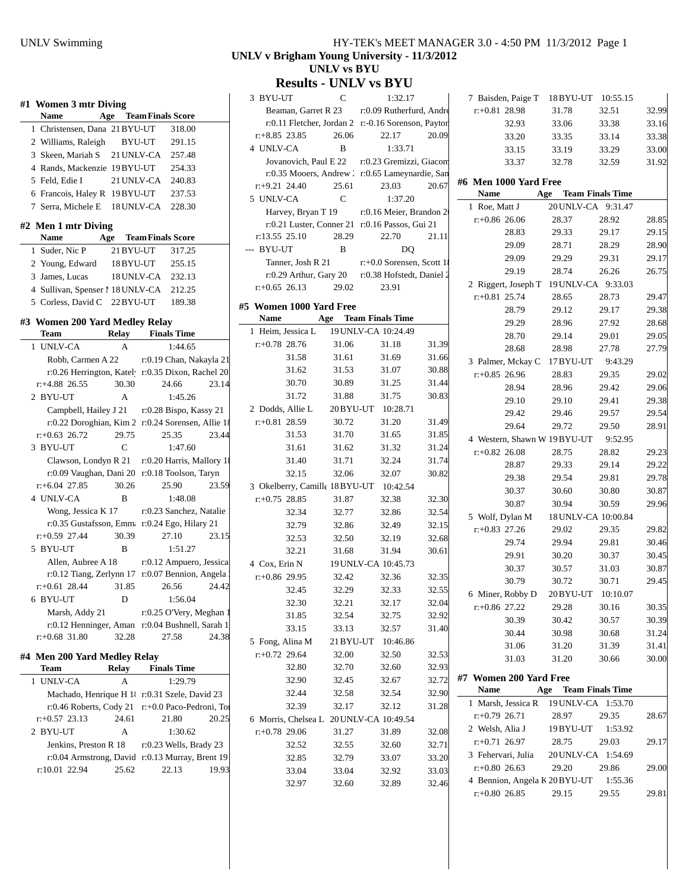| #1 Women 3 mtr Diving                                                    |            |                                                    |         |       |
|--------------------------------------------------------------------------|------------|----------------------------------------------------|---------|-------|
| <b>Name</b><br>Age                                                       |            | <b>Team Finals Score</b>                           |         |       |
| 1 Christensen, Dana 21 BYU-UT                                            |            |                                                    | 318.00  |       |
| 2 Williams, Raleigh                                                      |            | BYU-UT                                             | 291.15  |       |
| 3 Skeen, Mariah S                                                        | 21 UNLV-CA |                                                    | 257.48  |       |
| 4 Rands, Mackenzie 19 BYU-UT                                             |            |                                                    | 254.33  |       |
| 5 Feld, Edie I                                                           | 21 UNLV-CA |                                                    | 240.83  |       |
| 6 Francois, Haley R 19 BYU-UT                                            |            |                                                    | 237.53  |       |
| 7 Serra, Michele E 18 UNLV-CA                                            |            |                                                    | 228.30  |       |
| #2 Men 1 mtr Diving                                                      |            |                                                    |         |       |
| <b>Name</b><br>Age                                                       |            | <b>Team Finals Score</b>                           |         |       |
| 1 Suder, Nic P                                                           | 21 BYU-UT  |                                                    | 317.25  |       |
| 2 Young, Edward                                                          | 18 BYU-UT  |                                                    | 255.15  |       |
| 3 James, Lucas                                                           | 18 UNLV-CA |                                                    | 232.13  |       |
| 4 Sullivan, Spenser 1 18 UNLV-CA                                         |            |                                                    | 212.25  |       |
| 5 Corless, David C 22 BYU-UT                                             |            |                                                    | 189.38  |       |
| #3 Women 200 Yard Medley Relay<br>Team                                   |            | Relay Finals Time                                  |         |       |
| 1 UNLV-CA                                                                | А          |                                                    | 1:44.65 |       |
| Robb, Carmen A 22                                                        |            | r:0.19 Chan, Nakayla 21                            |         |       |
| r:0.26 Herrington, Katel r:0.35 Dixon, Rachel 20                         |            |                                                    |         |       |
| $r$ : +4.88 26.55                                                        | 30.30      | 24.66                                              |         | 23.14 |
| 2 BYU-UT                                                                 | А          |                                                    | 1:45.26 |       |
| Campbell, Hailey J 21 r:0.28 Bispo, Kassy 21                             |            |                                                    |         |       |
| r:0.22 Doroghian, Kim 2 r:0.24 Sorensen, Allie 18                        |            |                                                    |         |       |
| $r+0.63$ 26.72                                                           | 29.75      | 25.35                                              |         | 23.44 |
| 3 BYU-UT                                                                 | C          |                                                    | 1:47.60 |       |
| Clawson, Londyn R 21 r:0.20 Harris, Mallory 18                           |            |                                                    |         |       |
| r:0.09 Vaughan, Dani 20                                                  |            | r:0.18 Toolson, Taryn                              |         |       |
| $r+6.04$ 27.85                                                           | 30.26      | 25.90                                              |         | 23.59 |
| 4 UNLV-CA                                                                | В          |                                                    | 1:48.08 |       |
| Wong, Jessica K 17                                                       |            | r:0.23 Sanchez, Natalie                            |         |       |
| r:0.35 Gustafsson, Emm r:0.24 Ego, Hilary 21                             |            |                                                    |         |       |
| $r+0.59$ 27.44                                                           | 30.39      | 27.10                                              |         | 23.15 |
| 5 BYU-UT                                                                 | B          |                                                    | 1:51.27 |       |
| Allen, Aubree A 18                                                       |            | r:0.12 Ampuero, Jessica                            |         |       |
| r:0.12 Tiang, Zerlynn 17 r:0.07 Bennion, Angela 1                        |            |                                                    |         |       |
| $r.+0.61$ 28.44                                                          | 31.85      | 26.56                                              |         | 24.42 |
| 6 BYU-UT                                                                 | D          |                                                    | 1:56.04 |       |
| Marsh, Addy 21                                                           |            | r:0.25 O'Very, Meghan 1                            |         |       |
| r:0.12 Henninger, Aman                                                   |            | r:0.04 Bushnell, Sarah 1                           |         |       |
| $r+0.68$ 31.80                                                           | 32.28      | 27.58                                              |         | 24.38 |
| #4 Men 200 Yard Medley Relay                                             |            |                                                    |         |       |
| Team<br>1 UNLV-CA                                                        | Relay<br>А | <b>Finals Time</b>                                 | 1:29.79 |       |
|                                                                          |            |                                                    |         |       |
| Machado, Henrique H 1<br>r:0.46 Roberts, Cody 21                         |            | r:0.31 Szele, David 23<br>r:+0.0 Paco-Pedroni, Tor |         |       |
| $r+0.57$ 23.13                                                           | 24.61      | 21.80                                              |         | 20.25 |
| 2 BYU-UT                                                                 | A          |                                                    | 1:30.62 |       |
|                                                                          |            |                                                    |         |       |
|                                                                          |            |                                                    |         |       |
| Jenkins, Preston R 18<br>r:0.04 Armstrong, David r:0.13 Murray, Brent 19 |            | r:0.23 Wells, Brady 23                             |         |       |

#### UNLV Swimming HY-TEK's MEET MANAGER 3.0 - 4:50 PM 11/3/2012 Page 1 **UNLV v Brigham Young University - 11/3/2012 UNLV vs BYU**

## **Results - UNLV vs BYU**

| 3 BYU-UT                |                    | C            | 1:32.17                                            |       |
|-------------------------|--------------------|--------------|----------------------------------------------------|-------|
|                         |                    |              | Beaman, Garret R 23 r:0.09 Rutherfurd, Andre       |       |
|                         |                    |              | r:0.11 Fletcher, Jordan 2 r:-0.16 Sorenson, Paytor |       |
| $r+8.85$ 23.85          |                    | 26.06        | 22.17                                              | 20.09 |
| 4 UNLV-CA               |                    | B            | 1:33.71                                            |       |
|                         |                    |              | Jovanovich, Paul E 22 r:0.23 Gremizzi, Giacon      |       |
|                         |                    |              | r:0.35 Mooers, Andrew . r:0.65 Lameynardie, San    |       |
| $r: +9.21$ 24.40        |                    | 25.61        | 23.03                                              | 20.67 |
| 5 UNLV-CA               |                    | $\mathsf{C}$ | 1:37.20                                            |       |
|                         | Harvey, Bryan T 19 |              | r:0.16 Meier, Brandon 2                            |       |
|                         |                    |              | r:0.21 Luster, Conner 21 r:0.16 Passos, Gui 21     |       |
| r:13.55 25.10           |                    | 28.29        | 22.70                                              | 21.11 |
| --- BYU-UT              |                    | B            | DO                                                 |       |
|                         | Tanner, Josh R 21  |              | $r+0.0$ Sorensen, Scott 1                          |       |
|                         |                    |              | r:0.29 Arthur, Gary 20 r:0.38 Hofstedt, Daniel 2   |       |
| $r+0.65$ 26.13          |                    | 29.02        | 23.91                                              |       |
| #5 Women 1000 Yard Free |                    |              |                                                    |       |
| Name                    |                    |              | <b>Age</b> Team Finals Time                        |       |
|                         | 1 Heim, Jessica L  |              | 19 UNLV-CA 10:24.49                                |       |
| $r+0.78$ 28.76          |                    | 31.06        | 31.18                                              | 31.39 |
|                         | 31.58              | 31.61        | 31.69                                              | 31.66 |
|                         | 31.62              | 31.53        | 31.07                                              | 30.88 |
|                         | 30.70              | 30.89        | 31.25                                              | 31.44 |
|                         | 31.72              | 31.88        | 31.75                                              | 30.83 |
| 2 Dodds, Allie L        |                    |              | 20 BYU-UT 10:28.71                                 |       |
| $r+0.81$ 28.59          |                    | 30.72        | 31.20                                              | 31.49 |
|                         | 31.53              | 31.70        | 31.65                                              | 31.85 |
|                         | 31.61              | 31.62        | 31.32                                              | 31.24 |
|                         | 31.40              | 31.71        | 32.24                                              | 31.74 |
|                         | 32.15              | 32.06        | 32.07                                              | 30.82 |
|                         |                    |              | 3 Okelberry, Camille 18 BYU-UT 10:42.54            |       |
| $r+0.75$ 28.85          |                    | 31.87        | 32.38                                              | 32.30 |
|                         | 32.34              | 32.77        | 32.86                                              | 32.54 |
|                         | 32.79              | 32.86        | 32.49                                              | 32.15 |
|                         | 32.53              | 32.50        | 32.19                                              | 32.68 |
|                         | 32.21              | 31.68        | 31.94                                              | 30.61 |
| 4 Cox, Erin N           |                    |              | 19 UNLV-CA 10:45.73                                |       |
| $r+0.86$ 29.95          |                    | 32.42        | 32.36                                              | 32.35 |
|                         | 32.45              | 32.29        | 32.33                                              | 32.55 |
|                         | 32.30              | 32.21        | 32.17                                              | 32.04 |
|                         | 31.85              | 32.54        | 32.75                                              | 32.92 |
|                         | 33.15              | 33.13        | 32.57                                              | 31.40 |
| 5 Fong, Alina M         |                    | 21 BYU-UT    | 10:46.86                                           |       |
| $r+0.72$ 29.64          |                    | 32.00        | 32.50                                              | 32.53 |
|                         | 32.80              | 32.70        | 32.60                                              | 32.93 |
|                         | 32.90              | 32.45        | 32.67                                              | 32.72 |
|                         | 32.44              | 32.58        | 32.54                                              | 32.90 |
|                         | 32.39              | 32.17        | 32.12                                              | 31.28 |
|                         |                    |              | 6 Morris, Chelsea L 20 UNLV-CA 10:49.54            |       |
| $r+0.78$ 29.06          |                    | 31.27        | 31.89                                              | 32.08 |
|                         | 32.52              | 32.55        | 32.60                                              | 32.71 |
|                         | 32.85              | 32.79        | 33.07                                              | 33.20 |
|                         | 33.04              | 33.04        | 32.92                                              | 33.03 |
|                         | 32.97              | 32.60        | 32.89                                              | 32.46 |
|                         |                    |              |                                                    |       |

|                        |                  | 7 Baisden, Paige T 18 BYU-UT 10:55.15  |         |       |
|------------------------|------------------|----------------------------------------|---------|-------|
| $r+0.81$ 28.98         |                  | 31.78                                  | 32.51   | 32.99 |
|                        | 32.93            | 33.06                                  | 33.38   | 33.16 |
|                        | 33.20            | 33.35                                  | 33.14   | 33.38 |
|                        | 33.15            | 33.19                                  | 33.29   | 33.00 |
|                        | 33.37            | 32.78                                  | 32.59   | 31.92 |
| #6 Men 1000 Yard Free  |                  |                                        |         |       |
| Name                   |                  | <b>Age</b> Team Finals Time            |         |       |
| 1 Roe, Matt J          |                  | 20 UNLV-CA 9:31.47                     |         |       |
| $r+0.86$ 26.06         |                  | 28.37                                  | 28.92   | 28.85 |
|                        | 28.83            | 29.33                                  | 29.17   | 29.15 |
|                        | 29.09            | 28.71                                  | 28.29   | 28.90 |
|                        | 29.09            | 29.29                                  | 29.31   | 29.17 |
|                        | 29.19            | 28.74                                  | 26.26   | 26.75 |
|                        |                  | 2 Riggert, Joseph T 19 UNLV-CA 9:33.03 |         |       |
| $r+0.81$ 25.74         |                  | 28.65                                  | 28.73   | 29.47 |
|                        | 28.79            | 29.12                                  | 29.17   | 29.38 |
|                        | 29.29            | 28.96                                  | 27.92   | 28.68 |
|                        | 28.70            | 29.14                                  | 29.01   | 29.05 |
|                        | 28.68            | 28.98                                  | 27.78   | 27.79 |
|                        |                  | 3 Palmer, Mckay C 17 BYU-UT            | 9:43.29 |       |
| $r+0.85$ 26.96         |                  | 28.83                                  | 29.35   | 29.02 |
|                        | 28.94            | 28.96                                  | 29.42   | 29.06 |
|                        | 29.10            | 29.10                                  | 29.41   | 29.38 |
|                        | 29.42            | 29.46                                  | 29.57   | 29.54 |
|                        | 29.64            | 29.72                                  | 29.50   | 28.91 |
|                        |                  | 4 Western, Shawn W 19BYU-UT            | 9:52.95 |       |
| $r+0.82$ 26.08         |                  | 28.75                                  | 28.82   | 29.23 |
|                        | 28.87            | 29.33                                  | 29.14   | 29.22 |
|                        | 29.38            | 29.54                                  | 29.81   | 29.78 |
|                        | 30.37            | 30.60                                  | 30.80   | 30.87 |
|                        | 30.87            | 30.94                                  | 30.59   | 29.96 |
| 5 Wolf, Dylan M        |                  | 18 UNLV-CA 10:00.84                    |         |       |
| $r+0.83$ 27.26         |                  | 29.02                                  | 29.35   | 29.82 |
|                        | 29.74            | 29.94                                  | 29.81   | 30.46 |
|                        | 29.91            | 30.20                                  | 30.37   | 30.45 |
|                        | 30.37            | 30.57                                  | 31.03   | 30.87 |
|                        | 30.79            | 30.72                                  | 30.71   | 29.45 |
|                        | 6 Miner, Robby D | 20BYU-UT 10:10.07                      |         |       |
| $r+0.86$ 27.22         |                  | 29.28                                  | 30.16   | 30.35 |
|                        | 30.39            | 30.42                                  | 30.57   | 30.39 |
|                        | 30.44            | 30.98                                  | 30.68   | 31.24 |
|                        | 31.06            | 31.20                                  | 31.39   | 31.41 |
|                        | 31.03            | 31.20                                  | 30.66   | 30.00 |
| #7 Women 200 Yard Free |                  |                                        |         |       |
| Name                   |                  | Age Team Finals Time                   |         |       |
|                        |                  | 1 Marsh, Jessica R 19 UNLV-CA          | 1:53.70 |       |
| $r.+0.79$ 26.71        |                  | 28.97                                  | 29.35   | 28.67 |
| 2 Welsh, Alia J        |                  | 19BYU-UT                               | 1:53.92 |       |
| $r+0.71$ 26.97         |                  | 28.75                                  | 29.03   | 29.17 |
|                        |                  | 3 Fehervari, Julia 20 UNLV-CA 1:54.69  |         |       |
| $r+0.80$ 26.63         |                  | 29.20                                  | 29.86   | 29.00 |
|                        |                  | 4 Bennion, Angela K 20 BYU-UT          | 1:55.36 |       |
| $r+0.80$ 26.85         |                  | 29.15                                  | 29.55   | 29.81 |
|                        |                  |                                        |         |       |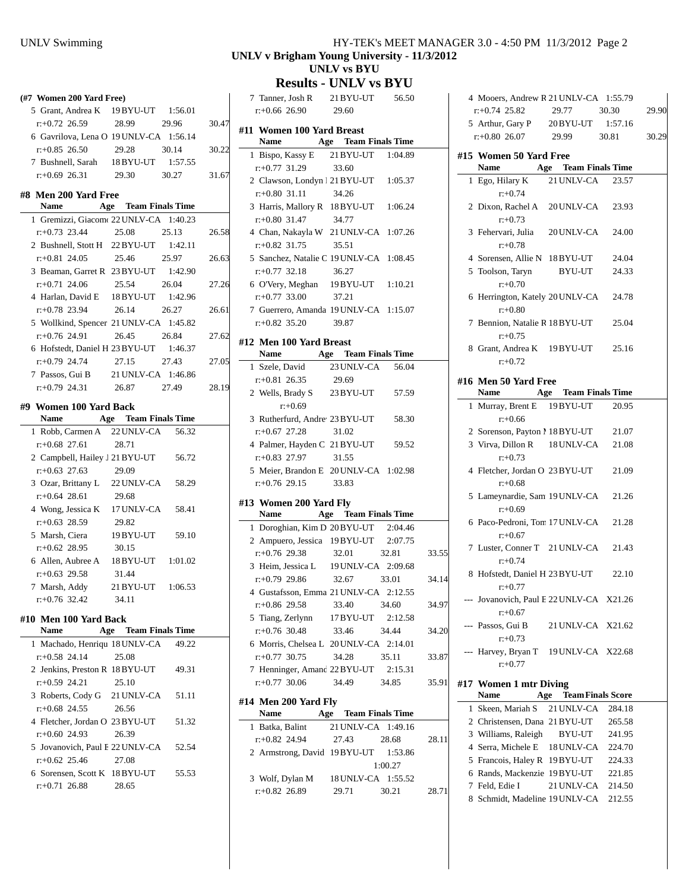| (#7 Women 200 Yard Free)                                     |                             |         |       |
|--------------------------------------------------------------|-----------------------------|---------|-------|
| 5 Grant, Andrea K 19 BYU-UT 1:56.01                          |                             |         |       |
| $r.+0.72$ 26.59                                              | 28.99 29.96                 |         | 30.47 |
| 6 Gavrilova, Lena O 19 UNLV-CA 1:56.14                       |                             |         |       |
| $r+0.85$ 26.50                                               | 29.28 30.14                 |         | 30.22 |
| 7 Bushnell, Sarah 18BYU-UT 1:57.55                           |                             |         |       |
| $r+0.69$ 26.31 29.30 30.27                                   |                             |         | 31.67 |
| #8 Men 200 Yard Free                                         |                             |         |       |
| Name Age Team Finals Time                                    |                             |         |       |
| 1 Gremizzi, Giacom 22 UNLV-CA 1:40.23                        |                             |         |       |
| $r+0.73$ 23.44                                               | 25.08                       | 25.13   | 26.58 |
| 2 Bushnell, Stott H 22 BYU-UT 1:42.11                        |                             |         |       |
| $r+0.81$ 24.05                                               | 25.46 25.97                 |         | 26.63 |
| 3 Beaman, Garret R 23 BYU-UT 1:42.90                         |                             |         |       |
| $r+0.71$ 24.06                                               | 25.54 26.04                 |         | 27.26 |
| 4 Harlan, David E 18 BYU-UT 1:42.96                          |                             |         |       |
| r:+0.78 23.94                                                | 26.14                       | 26.27   | 26.61 |
| 5 Wollkind, Spencer 21 UNLV-CA 1:45.82                       |                             |         |       |
| r:+0.76 24.91                                                | 26.45 26.84                 |         | 27.62 |
| 6 Hofstedt, Daniel H 23 BYU-UT 1:46.37                       |                             |         |       |
| r:+0.79 24.74                                                | 27.15                       | 27.43   | 27.05 |
| 7 Passos, Gui B 21 UNLV-CA 1:46.86                           |                             |         |       |
| $r: +0.79$ 24.31 26.87 27.49                                 |                             |         | 28.19 |
|                                                              |                             |         |       |
|                                                              |                             |         |       |
| #9 Women 100 Yard Back<br><b>Name</b>                        |                             |         |       |
|                                                              | <b>Age</b> Team Finals Time |         |       |
| 1 Robb, Carmen A 22 UNLV-CA 56.32<br>$r+0.68$ 27.61          | 28.71                       |         |       |
|                                                              |                             |         |       |
| 2 Campbell, Hailey J 21 BYU-UT 56.72<br>$r+0.63$ 27.63       |                             |         |       |
| 3 Ozar, Brittany L 22 UNLV-CA 58.29                          | 29.09                       |         |       |
| $r+0.64$ 28.61                                               | 29.68                       |         |       |
|                                                              |                             |         |       |
| 4 Wong, Jessica K 17 UNLV-CA 58.41<br>$r: +0.63$ 28.59 29.82 |                             |         |       |
|                                                              |                             |         |       |
| 5 Marsh, Ciera 19BYU-UT 59.10<br>$r.+0.62$ 28.95 30.15       |                             |         |       |
|                                                              |                             |         |       |
| 6 Allen, Aubree A 18BYU-UT 1:01.02<br>$r+0.63$ 29.58         | 31.44                       |         |       |
| 7 Marsh, Addy                                                | 21 BYU-UT                   | 1:06.53 |       |
| $r+0.76$ 32.42                                               | 34.11                       |         |       |
|                                                              |                             |         |       |
| #10 Men 100 Yard Back                                        |                             |         |       |
| Name                                                         | <b>Age</b> Team Finals Time |         |       |
| 1 Machado, Henriqu 18 UNLV-CA                                |                             | 49.22   |       |
| $r: +0.58$ 24.14<br>2 Jenkins, Preston R 18BYU-UT            | 25.08                       | 49.31   |       |

| 2 Jenkins, Preston R 18BYU-UT   |       | 49.31 |
|---------------------------------|-------|-------|
| $r+0.59$ 24.21                  | 25.10 |       |
| 3 Roberts, Cody G 21 UNLV-CA    |       | 51.11 |
| $r+0.68$ 24.55                  | 26.56 |       |
| 4 Fletcher, Jordan O 23 BYU-UT  |       | 51.32 |
| $r: +0.60$ 24.93 26.39          |       |       |
| 5 Jovanovich, Paul E 22 UNLV-CA |       | 52.54 |
| $r: +0.62$ 25.46 27.08          |       |       |
| 6 Sorensen, Scott K 18 BYU-UT   |       | 55.53 |
| $r+0.71$ 26.88                  | 28.65 |       |
|                                 |       |       |

#### UNLV Swimming HY-TEK's MEET MANAGER 3.0 - 4:50 PM 11/3/2012 Page 2 **UNLV v Brigham Young University - 11/3/2012 UNLV vs BYU**

**Results - UNLV vs BYU**

|                           |                        | 7 Tanner, Josh R 21 BYU-UT 56.50               |         |       |
|---------------------------|------------------------|------------------------------------------------|---------|-------|
|                           | $r+0.66$ 26.90 29.60   |                                                |         |       |
| #11 Women 100 Yard Breast |                        | Name Age Team Finals Time                      |         |       |
|                           |                        | 1 Bispo, Kassy E 21 BYU-UT 1:04.89             |         |       |
| $r: +0.77$ 31.29          |                        | 33.60                                          |         |       |
|                           |                        | 2 Clawson, Londyn 1 21 BYU-UT 1:05.37          |         |       |
| $r+0.80$ 31.11            |                        | 34.26                                          |         |       |
|                           |                        | 3 Harris, Mallory R 18 BYU-UT 1:06.24          |         |       |
| $r+0.80$ 31.47            |                        | 34.77                                          |         |       |
|                           |                        | 4 Chan, Nakayla W 21 UNLV-CA 1:07.26           |         |       |
| $r+0.82$ 31.75            |                        | 35.51                                          |         |       |
|                           |                        | 5 Sanchez, Natalie C 19 UNLV-CA 1:08.45        |         |       |
| $r+0.77$ 32.18            |                        | 36.27                                          |         |       |
|                           |                        | 6 O'Very, Meghan 19 BYU-UT 1:10.21             |         |       |
|                           | $r+0.77$ 33.00         | 37.21                                          |         |       |
|                           |                        | 7 Guerrero, Amanda 19 UNLV-CA 1:15.07          |         |       |
|                           | $r: +0.82$ 35.20 39.87 |                                                |         |       |
|                           |                        |                                                |         |       |
| #12 Men 100 Yard Breast   |                        |                                                |         |       |
| <b>Name</b>               |                        | <b>Age</b> Team Finals Time                    |         |       |
|                           |                        | 1 Szele, David 23 UNLV-CA 56.04                |         |       |
| $r+0.81$ 26.35            |                        | 29.69                                          |         |       |
|                           |                        | 2 Wells, Brady S 23 BYU-UT 57.59               |         |       |
|                           | $r: +0.69$             |                                                |         |       |
|                           |                        | 3 Rutherfurd, Andre <sup>23</sup> BYU-UT 58.30 |         |       |
| $r+0.67$ 27.28            |                        | 31.02                                          |         |       |
|                           |                        | 4 Palmer, Hayden C 21 BYU-UT 59.52             |         |       |
|                           | $r: +0.83$ 27.97 31.55 |                                                |         |       |
|                           |                        | 5 Meier, Brandon E 20 UNLV-CA 1:02.98          |         |       |
|                           | $r: +0.76$ 29.15 33.83 |                                                |         |       |
| #13 Women 200 Yard Fly    |                        |                                                |         |       |
|                           |                        | Name Age Team Finals Time                      |         |       |
|                           |                        | 1 Doroghian, Kim D 20 BYU-UT 2:04.46           |         |       |
|                           |                        | 2 Ampuero, Jessica 19 BYU-UT 2:07.75           |         |       |
| $r+0.76$ 29.38            |                        | 32.01                                          | 32.81   | 33.55 |
|                           |                        | 3 Heim, Jessica L 19 UNLV-CA 2:09.68           |         |       |
| $r+0.79$ 29.86            |                        | 32.67 33.01                                    |         | 34.14 |
|                           |                        | 4 Gustafsson, Emma 21 UNLV-CA 2:12.55          |         |       |
|                           |                        | $r+0.86$ 29.58 33.40 34.60                     |         | 34.97 |
|                           |                        | 5 Tiang, Zerlynn 17 BYU-UT 2:12.58             |         |       |
| $r+0.76$ 30.48            |                        | 33.46                                          | 34.44   | 34.20 |
|                           |                        | 6 Morris, Chelsea L 20 UNLV-CA 2:14.01         |         |       |
| $r: +0.77$ 30.75          |                        | 34.28                                          | 35.11   | 33.87 |
|                           |                        | 7 Henninger, Amand 22 BYU-UT 2:15.31           |         |       |
|                           |                        | $r: +0.77$ 30.06 34.49                         | 34.85   | 35.91 |
|                           |                        |                                                |         |       |
| #14 Men 200 Yard Fly      |                        |                                                |         |       |
|                           |                        | Name Age Team Finals Time                      |         |       |
| 1 Batka, Balint           |                        | 21 UNLV-CA 1:49.16                             |         |       |
|                           |                        | $r: +0.82$ 24.94 27.43 28.68                   |         | 28.11 |
|                           |                        | 2 Armstrong, David 19 BYU-UT 1:53.86           |         |       |
|                           |                        |                                                | 1:00.27 |       |
|                           |                        | 3 Wolf, Dylan M 18 UNLV-CA 1:55.52             |         |       |
| $r+0.82$ 26.89            |                        | 29.71 30.21                                    |         | 28.71 |

|   | 4 Mooers, Andrew R 21 UNLV-CA 1:55.79                |                              |        |       |
|---|------------------------------------------------------|------------------------------|--------|-------|
|   | $r+0.74$ 25.82                                       | 29.77                        | 30.30  | 29.90 |
|   | 5 Arthur, Gary P 20 BYU-UT 1:57.16                   |                              |        |       |
|   | $r+0.80$ 26.07                                       | 29.99                        | 30.81  | 30.29 |
|   | #15 Women 50 Yard Free<br>Name                       | Age Team Finals Time         |        |       |
|   | 1 Ego, Hilary K                                      | 21 UNLV-CA                   | 23.57  |       |
|   | $r+0.74$                                             |                              |        |       |
|   | 2 Dixon, Rachel A 20 UNLV-CA<br>$r: +0.73$           |                              | 23.93  |       |
|   | 3 Fehervari, Julia 20 UNLV-CA<br>$r+0.78$            |                              | 24.00  |       |
|   | 4 Sorensen, Allie N 18BYU-UT                         |                              | 24.04  |       |
|   | 5 Toolson, Taryn BYU-UT<br>$r: +0.70$                |                              | 24.33  |       |
|   | 6 Herrington, Kately 20 UNLV-CA 24.78<br>$r: +0.80$  |                              |        |       |
|   | 7 Bennion, Natalie R 18 BYU-UT<br>$r: +0.75$         |                              | 25.04  |       |
|   | 8 Grant, Andrea K 19BYU-UT 25.16<br>$r: +0.72$       |                              |        |       |
|   |                                                      |                              |        |       |
|   | #16  Men 50 Yard Free                                |                              |        |       |
|   | Name Age Team Finals Time                            |                              |        |       |
|   | 1 Murray, Brent E 19 BYU-UT<br>$r+0.66$              |                              | 20.95  |       |
|   | 2 Sorenson, Payton 1 18 BYU-UT 21.07                 |                              |        |       |
|   | 3 Virva, Dillon R 18 UNLV-CA<br>$r: +0.73$           |                              | 21.08  |       |
|   | 4 Fletcher, Jordan O 23 BYU-UT<br>$r+0.68$           |                              | 21.09  |       |
|   | 5 Lameynardie, Sam 19 UNLV-CA<br>$r+0.69$            |                              | 21.26  |       |
|   | 6 Paco-Pedroni, Torr 17 UNLV-CA<br>$r: +0.67$        |                              | 21.28  |       |
|   | 7 Luster, Conner T 21 UNLV-CA<br>$r+0.74$            |                              | 21.43  |       |
|   | 8 Hofstedt, Daniel H 23 BYU-UT<br>$r: +0.77$         |                              | 22.10  |       |
|   | --- Jovanovich, Paul E 22 UNLV-CA X21.26<br>$r+0.67$ |                              |        |       |
|   | --- Passos, Gui B<br>$r: +0.73$                      | 21 UNLV-CA X21.62            |        |       |
|   | --- Harvey, Bryan T 19 UNLV-CA X22.68<br>$r: +0.77$  |                              |        |       |
|   |                                                      |                              |        |       |
|   | #17 Women 1 mtr Diving                               |                              |        |       |
|   | Name                                                 | <b>Age</b> Team Finals Score |        |       |
| 1 | Skeen, Mariah S                                      | 21 UNLV-CA                   | 284.18 |       |
|   | 2 Christensen, Dana 21 BYU-UT                        |                              | 265.58 |       |
|   | 3 Williams, Raleigh                                  | BYU-UT                       | 241.95 |       |
|   | 4 Serra, Michele E 18 UNLV-CA 224.70                 |                              |        |       |
|   | 5 Francois, Haley R 19 BYU-UT                        |                              | 224.33 |       |

6 221.85 Rands, Mackenzie 19BYU-UT 7 Feld, Edie I 21 UNLV-CA 214.50 8 Schmidt, Madeline 19 UNLV-CA 212.55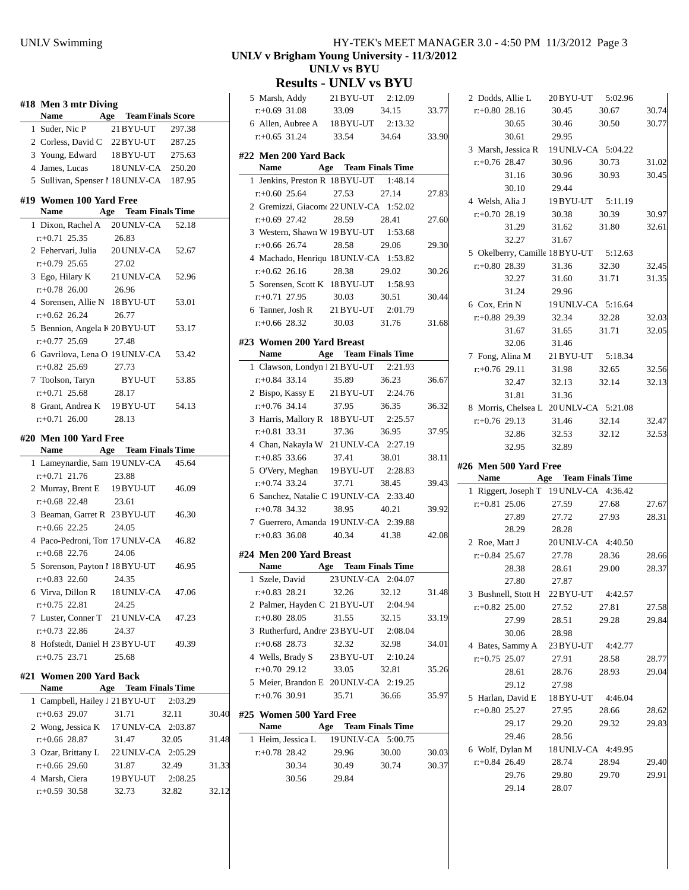|   | #18 Men 3 mtr Diving                                  |                             |        |
|---|-------------------------------------------------------|-----------------------------|--------|
|   | Name Age Team Finals Score                            | 21 BYU-UT 297.38            |        |
|   | 1 Suder, Nic P<br>2 Corless, David C 22 BYU-UT        |                             |        |
|   |                                                       |                             | 287.25 |
|   | 3 Young, Edward 18BYU-UT 275.63                       |                             |        |
|   | 4 James, Lucas                                        | 18 UNLV-CA 250.20           |        |
|   | 5 Sullivan, Spenser 1 18 UNLV-CA 187.95               |                             |        |
|   | #19  Women 100 Yard Free<br>Name Age Team Finals Time |                             |        |
| 1 | Dixon, Rachel A 20 UNLV-CA 52.18                      |                             |        |
|   | $r: +0.71$ 25.35                                      | 26.83                       |        |
|   | 2 Fehervari, Julia 20 UNLV-CA                         |                             | 52.67  |
|   | $r: +0.79$ 25.65                                      | 27.02                       |        |
|   | 3 Ego, Hilary K 21 UNLV-CA                            |                             | 52.96  |
|   | $r.+0.78$ 26.00 26.96                                 |                             |        |
|   | 4 Sorensen, Allie N 18BYU-UT                          |                             | 53.01  |
|   | $r+0.62$ 26.24                                        | 26.77                       |        |
|   |                                                       |                             | 53.17  |
|   | 5 Bennion, Angela K 20 BYU-UT                         |                             |        |
|   | $r+0.77$ 25.69                                        | 27.48                       |        |
|   | 6 Gavrilova, Lena O 19 UNLV-CA                        |                             | 53.42  |
|   | $r.+0.82$ 25.69                                       | 27.73                       |        |
|   | 7 Toolson, Taryn                                      | BYU-UT                      | 53.85  |
|   | $r: +0.71$ 25.68                                      | 28.17                       |        |
|   | 8 Grant, Andrea K 19BYU-UT                            |                             | 54.13  |
|   | $r+0.71$ 26.00                                        | 28.13                       |        |
|   | #20  Men 100 Yard Free<br>Name Age Team Finals Time   |                             |        |
|   | 1 Lameynardie, Sam 19 UNLV-CA 45.64                   |                             |        |
|   | $r+0.71$ 21.76                                        | 23.88                       |        |
|   | 2 Murray, Brent E 19BYU-UT                            |                             | 46.09  |
|   | $r+0.68$ 22.48                                        | 23.61                       |        |
|   | 3 Beaman, Garret R 23 BYU-UT                          |                             | 46.30  |
|   | $r: +0.66$ 22.25                                      | 24.05                       |        |
|   | 4 Paco-Pedroni, Ton 17 UNLV-CA                        |                             | 46.82  |
|   | $r+0.68$ 22.76                                        | 24.06                       |        |
|   | 5 Sorenson, Payton 1 18 BYU-UT                        |                             | 46.95  |
|   | $r: +0.83$ 22.60                                      | 24.35                       |        |
|   | 6 Virva, Dillon R 18 UNLV-CA                          |                             | 47.06  |
|   | $r: +0.75$ 22.81                                      | 24.25                       |        |
|   | 7 Luster, Conner T 21 UNLV-CA                         |                             | 47.23  |
|   | $r: +0.73$ 22.86                                      | 24.37                       |        |
|   | 8 Hofstedt, Daniel H 23 BYU-UT                        |                             | 49.39  |
|   |                                                       |                             |        |
|   | $r: +0.75$ 23.71                                      | 25.68                       |        |
|   | #21 Women 200 Yard Back                               |                             |        |
|   | <b>Name</b>                                           | <b>Age</b> Team Finals Time |        |
|   | 1 Campbell, Hailey J 21 BYU-UT 2:03.29                |                             |        |
|   |                                                       |                             |        |

| 1 Campbell, Hailey J 21 BY U-UT $2:03.29$ |       |                    |       |
|-------------------------------------------|-------|--------------------|-------|
| $r: +0.63$ 29.07                          | 31.71 | 32.11              | 30.40 |
| 2 Wong, Jessica K 17 UNLV-CA 2:03.87      |       |                    |       |
| $r+0.66$ 28.87                            | 31.47 | 32.05              | 31.48 |
| 3 Ozar, Brittany L                        |       | 22 UNLV-CA 2:05.29 |       |
| $r+0.66$ 29.60                            | 31.87 | 32.49              | 31.33 |
| 4 Marsh, Ciera                            |       | 19 BYU-UT 2:08.25  |       |
| $r: +0.59$ 30.58                          | 32.73 | 32.82              | 32.12 |

#### UNLV Swimming HY-TEK's MEET MANAGER 3.0 - 4:50 PM 11/3/2012 Page 3 **UNLV v Brigham Young University - 11/3/2012 UNLV vs BYU**

**Results - UNLV vs BYU**

| 5 Marsh, Addy 21 BYU-UT 2:12.09                         |                             |         |       |
|---------------------------------------------------------|-----------------------------|---------|-------|
| $r+0.69$ 31.08 33.09 34.15                              |                             |         | 33.77 |
| 6 Allen, Aubree A 18 BYU-UT 2:13.32                     |                             |         |       |
| $r: +0.65$ 31.24 33.54 34.64                            |                             |         | 33.90 |
| #22 Men 200 Yard Back                                   |                             |         |       |
| Name Age Team Finals Time                               |                             |         |       |
| 1 Jenkins, Preston R 18 BYU-UT 1:48.14                  |                             |         |       |
|                                                         | 27.53 27.14                 |         |       |
| $r+0.60$ 25.64                                          |                             |         | 27.83 |
| 2 Gremizzi, Giacom 22 UNLV-CA 1:52.02                   |                             | 28.41   |       |
| $r+0.69$ 27.42                                          | 28.59                       |         | 27.60 |
| 3 Western, Shawn W 19 BYU-UT 1:53.68                    |                             |         |       |
| $r+0.66$ 26.74                                          | 28.58 29.06                 |         | 29.30 |
| 4 Machado, Henriqu 18 UNLV-CA 1:53.82                   |                             |         |       |
| $r+0.62$ 26.16                                          | 28.38                       | 29.02   | 30.26 |
| 5 Sorensen, Scott K 18 BYU-UT 1:58.93                   |                             |         |       |
| r:+0.71 27.95                                           | 30.03                       | 30.51   | 30.44 |
| 6 Tanner, Josh R 21 BYU-UT 2:01.79                      |                             |         |       |
| $r: +0.66$ 28.32                                        | 30.03 31.76                 |         | 31.68 |
| #23 Women 200 Yard Breast                               |                             |         |       |
| Name Age Team Finals Time                               |                             |         |       |
| 1 Clawson, Londyn 1 21 BYU-UT 2:21.93                   |                             |         |       |
| $r+0.84$ 33.14 35.89 36.23                              |                             |         | 36.67 |
| 2 Bispo, Kassy E 21 BYU-UT 2:24.76                      |                             |         |       |
| $r+0.76$ 34.14                                          | 37.95 36.35                 |         | 36.32 |
| 3 Harris, Mallory R 18 BYU-UT 2:25.57                   |                             |         |       |
| $r+0.81$ 33.31                                          | 37.36                       | 36.95   | 37.95 |
| 4 Chan, Nakayla W 21 UNLV-CA 2:27.19                    |                             |         |       |
| $r+0.85$ 33.66                                          | 37.41 38.01                 |         | 38.11 |
| 5 O'Very, Meghan 19 BYU-UT 2:28.83                      |                             |         |       |
| $r: +0.74$ 33.24 37.71 38.45                            |                             |         | 39.43 |
| 6 Sanchez, Natalie C 19 UNLV-CA 2:33.40                 |                             |         |       |
|                                                         |                             |         |       |
| $r+0.78$ 34.32<br>7 Guerrero, Amanda 19 UNLV-CA 2:39.88 | 38.95 40.21                 |         | 39.92 |
|                                                         |                             |         |       |
| $r+0.83$ 36.08 40.34 41.38                              |                             |         | 42.08 |
| #24 Men 200 Yard Breast                                 |                             |         |       |
| Name Age Team Finals Time                               |                             |         |       |
| 1 Szele, David                                          | 23 UNLV-CA 2:04.07          |         |       |
| $r.+0.83$ 28.21 32.26 32.12                             |                             |         | 31.48 |
| 2 Palmer, Hayden C 21 BYU-UT 2:04.94                    |                             |         |       |
| $r+0.80$ 28.05                                          | 31.55                       | 32.15   | 33.19 |
| 3 Rutherfurd, Andre <sup>1</sup> 23 BYU-UT              |                             | 2:08.04 |       |
| $r+0.68$ 28.73                                          | 32.32                       | 32.98   | 34.01 |
| 4 Wells, Brady S 23 BYU-UT 2:10.24                      |                             |         |       |
| $r+0.70$ 29.12                                          | 33.05                       | 32.81   | 35.26 |
| 5 Meier, Brandon E 20 UNLV-CA 2:19.25                   |                             |         |       |
| $r: +0.76$ 30.91                                        | 35.71                       | 36.66   | 35.97 |
|                                                         |                             |         |       |
| #25 Women 500 Yard Free                                 |                             |         |       |
| Name                                                    | <b>Age</b> Team Finals Time |         |       |
| 1 Heim, Jessica L 19 UNLV-CA 5:00.75                    |                             |         |       |
| $r+0.78$ 28.42                                          | 29.96                       | 30.00   | 30.03 |
| 30.34                                                   | 30.49                       | 30.74   | 30.37 |
| 30.56                                                   | 29.84                       |         |       |
|                                                         |                             |         |       |

|                 |                       | 2 Dodds, Allie L 20BYU-UT 5:02.96                                   |       |                                                                      |
|-----------------|-----------------------|---------------------------------------------------------------------|-------|----------------------------------------------------------------------|
| $r+0.80$ 28.16  |                       | 30.45                                                               | 30.67 | 30.74                                                                |
|                 | 30.65                 | 30.46                                                               | 30.50 | 30.77                                                                |
|                 | 30.61                 | 29.95                                                               |       |                                                                      |
|                 |                       | 3 Marsh, Jessica R 19 UNLV-CA 5:04.22                               |       |                                                                      |
| $r+0.76$ 28.47  |                       | 30.96                                                               | 30.73 | 31.02                                                                |
|                 |                       | 31.16 30.96 30.93                                                   |       | 30.45                                                                |
|                 | 30.10 29.44           |                                                                     |       |                                                                      |
|                 |                       | 4 Welsh, Alia J 19BYU-UT 5:11.19                                    |       |                                                                      |
| $r+0.70$ 28.19  |                       | 30.38                                                               | 30.39 | 30.97                                                                |
|                 | 31.29                 | 31.62                                                               | 31.80 | 32.61                                                                |
|                 | 32.27                 | 31.67                                                               |       |                                                                      |
|                 |                       | 5 Okelberry, Camille 18BYU-UT 5:12.63<br>$r+0.80.28.39$ 31.36 32.30 |       |                                                                      |
|                 |                       |                                                                     |       | 32.45                                                                |
|                 | 32.27                 | 31.60                                                               | 31.71 | 31.35                                                                |
|                 | 31.24 29.96           |                                                                     |       |                                                                      |
|                 |                       | 6 Cox, Erin N 19 UNLV-CA 5:16.64                                    |       |                                                                      |
|                 |                       | $r.+0.88$ 29.39 32.34 32.28                                         |       | 32.03                                                                |
|                 |                       | 31.67 31.65 31.71                                                   |       | 32.05                                                                |
|                 | 32.06 31.46           |                                                                     |       |                                                                      |
|                 |                       | 7 Fong, Alina M 21 BYU-UT 5:18.34                                   |       |                                                                      |
| $r+0.76$ 29.11  |                       | 31.98 32.65                                                         |       | 32.56                                                                |
|                 | 32.47                 | 32.13                                                               | 32.14 | 32.13                                                                |
|                 | 31.81                 | 31.36                                                               |       |                                                                      |
|                 |                       | 8 Morris, Chelsea L 20 UNLV-CA 5:21.08                              |       |                                                                      |
| $r+0.76$ 29.13  |                       | 31.46                                                               | 32.14 | 32.47                                                                |
|                 |                       |                                                                     |       |                                                                      |
|                 | 32.86                 | 32.53                                                               | 32.12 | 32.53                                                                |
|                 | 32.95                 | 32.89                                                               |       |                                                                      |
|                 |                       |                                                                     |       |                                                                      |
|                 | #26 Men 500 Yard Free |                                                                     |       |                                                                      |
|                 |                       | Name Age Team Finals Time                                           |       |                                                                      |
|                 |                       | 1 Riggert, Joseph T 19 UNLV-CA 4:36.42                              |       |                                                                      |
|                 |                       | $r+0.81$ 25.06 27.59 27.68                                          |       | 27.67                                                                |
|                 | 27.89                 | 27.72                                                               | 27.93 | 28.31                                                                |
|                 | 28.29                 | 28.28                                                               |       |                                                                      |
| 2 Roe, Matt J   |                       |                                                                     |       |                                                                      |
| $r+0.84$ 25.67  |                       | 20 UNLV-CA 4:40.50<br>27.78                                         | 28.36 |                                                                      |
|                 | 28.38                 | 28.61                                                               | 29.00 | 28.37                                                                |
|                 | 27.80                 | 27.87                                                               |       |                                                                      |
|                 |                       | 3 Bushnell, Stott H 22 BYU-UT 4:42.57                               |       |                                                                      |
| $r+0.82$ 25.00  |                       | 27.52                                                               | 27.81 |                                                                      |
|                 | 27.99                 | 28.51                                                               | 29.28 |                                                                      |
|                 | 30.06                 | 28.98                                                               |       |                                                                      |
|                 |                       |                                                                     |       |                                                                      |
| $r+0.75$ 25.07  |                       | 4 Bates, Sammy A 23 BYU-UT 4:42.77<br>27.91                         | 28.58 |                                                                      |
|                 | 28.61                 | 28.76                                                               | 28.93 |                                                                      |
|                 | 29.12                 | 27.98                                                               |       |                                                                      |
|                 |                       | 5 Harlan, David E 18 BYU-UT 4:46.04                                 |       |                                                                      |
| $r+0.80$ 25.27  |                       | 27.95                                                               | 28.66 |                                                                      |
|                 |                       |                                                                     | 29.32 |                                                                      |
|                 | 29.17<br>29.46        | 29.20                                                               |       |                                                                      |
|                 |                       | 28.56                                                               |       | 29.83                                                                |
|                 |                       | 6 Wolf, Dylan M 18 UNLV-CA 4:49.95<br>28.74                         | 28.94 |                                                                      |
| $r.+0.84$ 26.49 |                       |                                                                     | 29.70 |                                                                      |
|                 | 29.76<br>29.14        | 29.80<br>28.07                                                      |       | 28.66<br>27.58<br>29.84<br>28.77<br>29.04<br>28.62<br>29.40<br>29.91 |